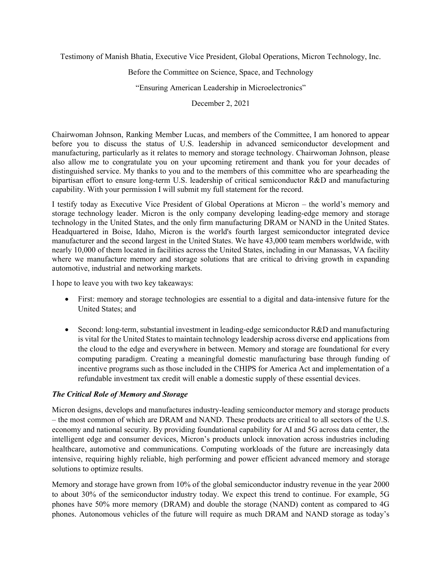Testimony of Manish Bhatia, Executive Vice President, Global Operations, Micron Technology, Inc.

#### Before the Committee on Science, Space, and Technology

"Ensuring American Leadership in Microelectronics"

December 2, 2021

Chairwoman Johnson, Ranking Member Lucas, and members of the Committee, I am honored to appear before you to discuss the status of U.S. leadership in advanced semiconductor development and manufacturing, particularly as it relates to memory and storage technology. Chairwoman Johnson, please also allow me to congratulate you on your upcoming retirement and thank you for your decades of distinguished service. My thanks to you and to the members of this committee who are spearheading the bipartisan effort to ensure long-term U.S. leadership of critical semiconductor R&D and manufacturing capability. With your permission I will submit my full statement for the record.

I testify today as Executive Vice President of Global Operations at Micron – the world's memory and storage technology leader. Micron is the only company developing leading-edge memory and storage technology in the United States, and the only firm manufacturing DRAM or NAND in the United States. Headquartered in Boise, Idaho, Micron is the world's fourth largest semiconductor integrated device manufacturer and the second largest in the United States. We have 43,000 team members worldwide, with nearly 10,000 of them located in facilities across the United States, including in our Manassas, VA facility where we manufacture memory and storage solutions that are critical to driving growth in expanding automotive, industrial and networking markets.

I hope to leave you with two key takeaways:

- First: memory and storage technologies are essential to a digital and data-intensive future for the United States; and
- Second: long-term, substantial investment in leading-edge semiconductor R&D and manufacturing is vital for the United States to maintain technology leadership across diverse end applications from the cloud to the edge and everywhere in between. Memory and storage are foundational for every computing paradigm. Creating a meaningful domestic manufacturing base through funding of incentive programs such as those included in the CHIPS for America Act and implementation of a refundable investment tax credit will enable a domestic supply of these essential devices.

## The Critical Role of Memory and Storage

Micron designs, develops and manufactures industry-leading semiconductor memory and storage products – the most common of which are DRAM and NAND. These products are critical to all sectors of the U.S. economy and national security. By providing foundational capability for AI and 5G across data center, the intelligent edge and consumer devices, Micron's products unlock innovation across industries including healthcare, automotive and communications. Computing workloads of the future are increasingly data intensive, requiring highly reliable, high performing and power efficient advanced memory and storage solutions to optimize results.

Memory and storage have grown from 10% of the global semiconductor industry revenue in the year 2000 to about 30% of the semiconductor industry today. We expect this trend to continue. For example, 5G phones have 50% more memory (DRAM) and double the storage (NAND) content as compared to 4G phones. Autonomous vehicles of the future will require as much DRAM and NAND storage as today's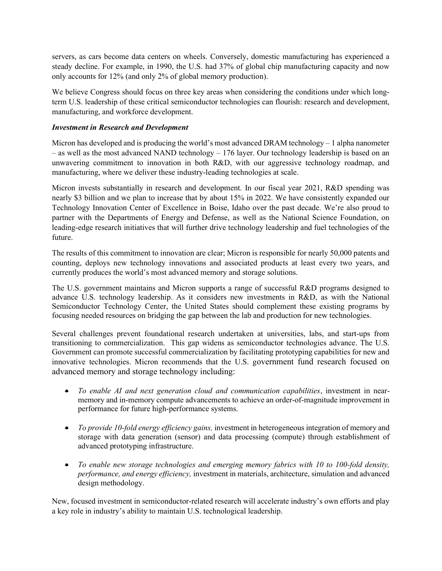servers, as cars become data centers on wheels. Conversely, domestic manufacturing has experienced a steady decline. For example, in 1990, the U.S. had 37% of global chip manufacturing capacity and now only accounts for 12% (and only 2% of global memory production).

We believe Congress should focus on three key areas when considering the conditions under which longterm U.S. leadership of these critical semiconductor technologies can flourish: research and development, manufacturing, and workforce development.

# Investment in Research and Development

Micron has developed and is producing the world's most advanced DRAM technology – 1 alpha nanometer – as well as the most advanced NAND technology – 176 layer. Our technology leadership is based on an unwavering commitment to innovation in both R&D, with our aggressive technology roadmap, and manufacturing, where we deliver these industry-leading technologies at scale.

Micron invests substantially in research and development. In our fiscal year 2021, R&D spending was nearly \$3 billion and we plan to increase that by about 15% in 2022. We have consistently expanded our Technology Innovation Center of Excellence in Boise, Idaho over the past decade. We're also proud to partner with the Departments of Energy and Defense, as well as the National Science Foundation, on leading-edge research initiatives that will further drive technology leadership and fuel technologies of the future.

The results of this commitment to innovation are clear; Micron is responsible for nearly 50,000 patents and counting, deploys new technology innovations and associated products at least every two years, and currently produces the world's most advanced memory and storage solutions.

The U.S. government maintains and Micron supports a range of successful R&D programs designed to advance U.S. technology leadership. As it considers new investments in R&D, as with the National Semiconductor Technology Center, the United States should complement these existing programs by focusing needed resources on bridging the gap between the lab and production for new technologies.

Several challenges prevent foundational research undertaken at universities, labs, and start-ups from transitioning to commercialization. This gap widens as semiconductor technologies advance. The U.S. Government can promote successful commercialization by facilitating prototyping capabilities for new and innovative technologies. Micron recommends that the U.S. government fund research focused on advanced memory and storage technology including:

- To enable AI and next generation cloud and communication capabilities, investment in nearmemory and in-memory compute advancements to achieve an order-of-magnitude improvement in performance for future high-performance systems.
- $\bullet$  To provide 10-fold energy efficiency gains, investment in heterogeneous integration of memory and storage with data generation (sensor) and data processing (compute) through establishment of advanced prototyping infrastructure.
- To enable new storage technologies and emerging memory fabrics with 10 to 100-fold density, performance, and energy efficiency, investment in materials, architecture, simulation and advanced design methodology.

New, focused investment in semiconductor-related research will accelerate industry's own efforts and play a key role in industry's ability to maintain U.S. technological leadership.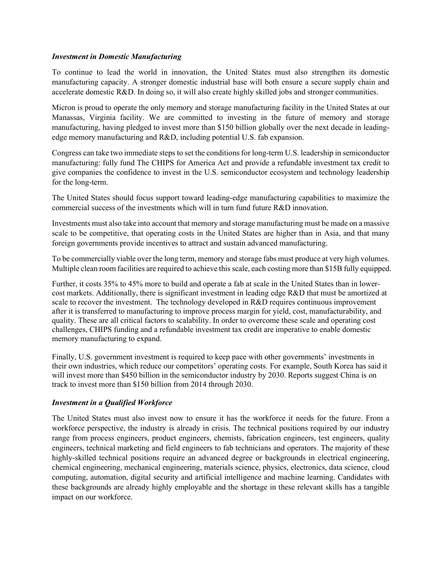## Investment in Domestic Manufacturing

To continue to lead the world in innovation, the United States must also strengthen its domestic manufacturing capacity. A stronger domestic industrial base will both ensure a secure supply chain and accelerate domestic R&D. In doing so, it will also create highly skilled jobs and stronger communities.

Micron is proud to operate the only memory and storage manufacturing facility in the United States at our Manassas, Virginia facility. We are committed to investing in the future of memory and storage manufacturing, having pledged to invest more than \$150 billion globally over the next decade in leadingedge memory manufacturing and R&D, including potential U.S. fab expansion.

Congress can take two immediate steps to set the conditions for long-term U.S. leadership in semiconductor manufacturing: fully fund The CHIPS for America Act and provide a refundable investment tax credit to give companies the confidence to invest in the U.S. semiconductor ecosystem and technology leadership for the long-term.

The United States should focus support toward leading-edge manufacturing capabilities to maximize the commercial success of the investments which will in turn fund future R&D innovation.

Investments must also take into account that memory and storage manufacturing must be made on a massive scale to be competitive, that operating costs in the United States are higher than in Asia, and that many foreign governments provide incentives to attract and sustain advanced manufacturing.

To be commercially viable over the long term, memory and storage fabs must produce at very high volumes. Multiple clean room facilities are required to achieve this scale, each costing more than \$15B fully equipped.

Further, it costs 35% to 45% more to build and operate a fab at scale in the United States than in lowercost markets. Additionally, there is significant investment in leading edge R&D that must be amortized at scale to recover the investment. The technology developed in R&D requires continuous improvement after it is transferred to manufacturing to improve process margin for yield, cost, manufacturability, and quality. These are all critical factors to scalability. In order to overcome these scale and operating cost challenges, CHIPS funding and a refundable investment tax credit are imperative to enable domestic memory manufacturing to expand.

Finally, U.S. government investment is required to keep pace with other governments' investments in their own industries, which reduce our competitors' operating costs. For example, South Korea has said it will invest more than \$450 billion in the semiconductor industry by 2030. Reports suggest China is on track to invest more than \$150 billion from 2014 through 2030.

## Investment in a Qualified Workforce

The United States must also invest now to ensure it has the workforce it needs for the future. From a workforce perspective, the industry is already in crisis. The technical positions required by our industry range from process engineers, product engineers, chemists, fabrication engineers, test engineers, quality engineers, technical marketing and field engineers to fab technicians and operators. The majority of these highly-skilled technical positions require an advanced degree or backgrounds in electrical engineering, chemical engineering, mechanical engineering, materials science, physics, electronics, data science, cloud computing, automation, digital security and artificial intelligence and machine learning. Candidates with these backgrounds are already highly employable and the shortage in these relevant skills has a tangible impact on our workforce.